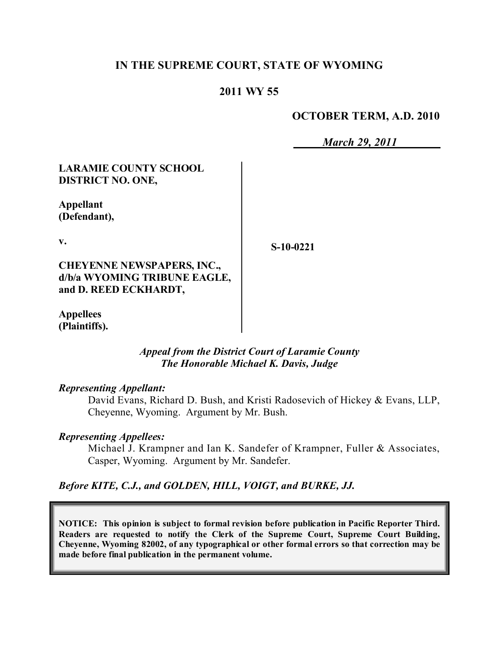# **IN THE SUPREME COURT, STATE OF WYOMING**

# **2011 WY 55**

# **OCTOBER TERM, A.D. 2010**

*March 29, 2011*

# **LARAMIE COUNTY SCHOOL DISTRICT NO. ONE,**

**Appellant (Defendant),**

**v.**

**S-10-0221**

**CHEYENNE NEWSPAPERS, INC., d/b/a WYOMING TRIBUNE EAGLE, and D. REED ECKHARDT,**

**Appellees (Plaintiffs).**

# *Appeal from the District Court of Laramie County The Honorable Michael K. Davis, Judge*

### *Representing Appellant:*

David Evans, Richard D. Bush, and Kristi Radosevich of Hickey & Evans, LLP, Cheyenne, Wyoming. Argument by Mr. Bush.

### *Representing Appellees:*

Michael J. Krampner and Ian K. Sandefer of Krampner, Fuller & Associates, Casper, Wyoming. Argument by Mr. Sandefer.

### *Before KITE, C.J., and GOLDEN, HILL, VOIGT, and BURKE, JJ.*

**NOTICE: This opinion is subject to formal revision before publication in Pacific Reporter Third. Readers are requested to notify the Clerk of the Supreme Court, Supreme Court Building, Cheyenne, Wyoming 82002, of any typographical or other formal errors so that correction may be made before final publication in the permanent volume.**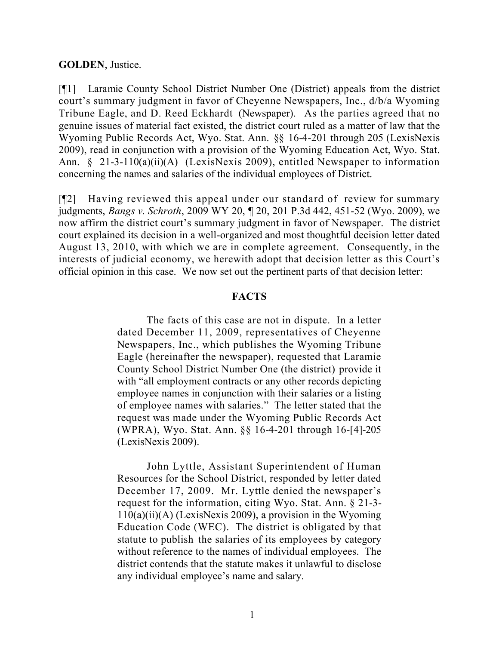### **GOLDEN**, Justice.

[¶1] Laramie County School District Number One (District) appeals from the district court's summary judgment in favor of Cheyenne Newspapers, Inc., d/b/a Wyoming Tribune Eagle, and D. Reed Eckhardt (Newspaper). As the parties agreed that no genuine issues of material fact existed, the district court ruled as a matter of law that the Wyoming Public Records Act, Wyo. Stat. Ann. §§ 16-4-201 through 205 (LexisNexis 2009), read in conjunction with a provision of the Wyoming Education Act, Wyo. Stat. Ann. § 21-3-110(a)(ii)(A) (LexisNexis 2009), entitled Newspaper to information concerning the names and salaries of the individual employees of District.

[¶2] Having reviewed this appeal under our standard of review for summary judgments, *Bangs v. Schroth*, 2009 WY 20, ¶ 20, 201 P.3d 442, 451-52 (Wyo. 2009), we now affirm the district court's summary judgment in favor of Newspaper. The district court explained its decision in a well-organized and most thoughtful decision letter dated August 13, 2010, with which we are in complete agreement. Consequently, in the interests of judicial economy, we herewith adopt that decision letter as this Court's official opinion in this case. We now set out the pertinent parts of that decision letter:

#### **FACTS**

The facts of this case are not in dispute. In a letter dated December 11, 2009, representatives of Cheyenne Newspapers, Inc., which publishes the Wyoming Tribune Eagle (hereinafter the newspaper), requested that Laramie County School District Number One (the district) provide it with "all employment contracts or any other records depicting employee names in conjunction with their salaries or a listing of employee names with salaries." The letter stated that the request was made under the Wyoming Public Records Act (WPRA), Wyo. Stat. Ann. §§ 16-4-201 through 16-[4]-205 (LexisNexis 2009).

John Lyttle, Assistant Superintendent of Human Resources for the School District, responded by letter dated December 17, 2009. Mr. Lyttle denied the newspaper's request for the information, citing Wyo. Stat. Ann. § 21-3-  $110(a)(ii)(A)$  (LexisNexis 2009), a provision in the Wyoming Education Code (WEC). The district is obligated by that statute to publish the salaries of its employees by category without reference to the names of individual employees. The district contends that the statute makes it unlawful to disclose any individual employee's name and salary.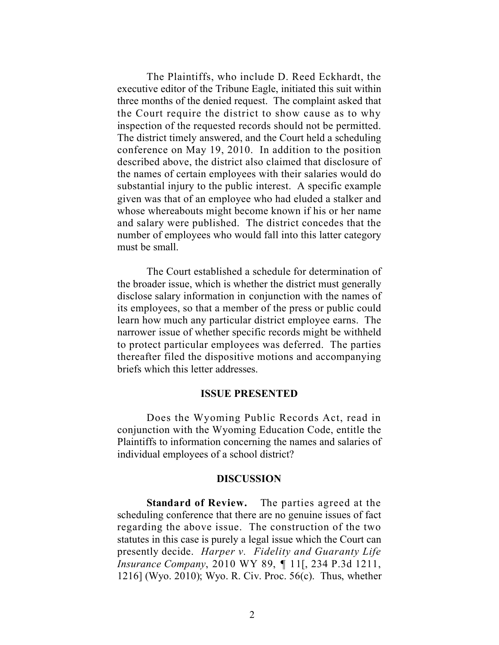The Plaintiffs, who include D. Reed Eckhardt, the executive editor of the Tribune Eagle, initiated this suit within three months of the denied request. The complaint asked that the Court require the district to show cause as to why inspection of the requested records should not be permitted. The district timely answered, and the Court held a scheduling conference on May 19, 2010. In addition to the position described above, the district also claimed that disclosure of the names of certain employees with their salaries would do substantial injury to the public interest. A specific example given was that of an employee who had eluded a stalker and whose whereabouts might become known if his or her name and salary were published. The district concedes that the number of employees who would fall into this latter category must be small.

The Court established a schedule for determination of the broader issue, which is whether the district must generally disclose salary information in conjunction with the names of its employees, so that a member of the press or public could learn how much any particular district employee earns. The narrower issue of whether specific records might be withheld to protect particular employees was deferred. The parties thereafter filed the dispositive motions and accompanying briefs which this letter addresses.

#### **ISSUE PRESENTED**

Does the Wyoming Public Records Act, read in conjunction with the Wyoming Education Code, entitle the Plaintiffs to information concerning the names and salaries of individual employees of a school district?

#### **DISCUSSION**

**Standard of Review.** The parties agreed at the scheduling conference that there are no genuine issues of fact regarding the above issue. The construction of the two statutes in this case is purely a legal issue which the Court can presently decide. *Harper v. Fidelity and Guaranty Life Insurance Company*, 2010 WY 89, ¶ 11[, 234 P.3d 1211, 1216] (Wyo. 2010); Wyo. R. Civ. Proc. 56(c). Thus, whether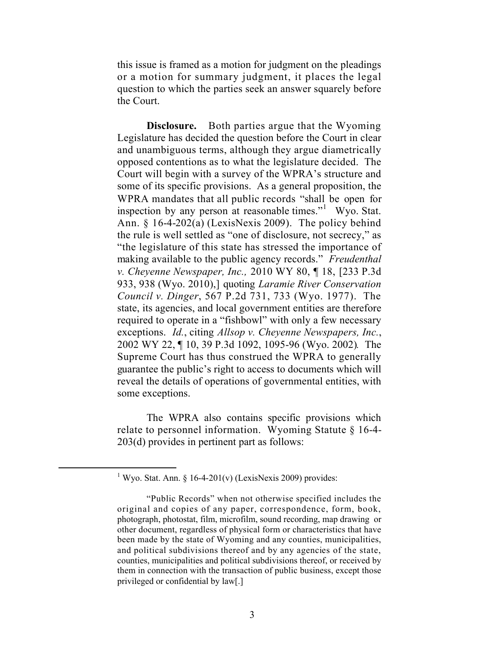this issue is framed as a motion for judgment on the pleadings or a motion for summary judgment, it places the legal question to which the parties seek an answer squarely before the Court.

**Disclosure.** Both parties argue that the Wyoming Legislature has decided the question before the Court in clear and unambiguous terms, although they argue diametrically opposed contentions as to what the legislature decided. The Court will begin with a survey of the WPRA's structure and some of its specific provisions. As a general proposition, the WPRA mandates that all public records "shall be open for inspection by any person at reasonable times."<sup>1</sup> Wyo. Stat. Ann. § 16-4-202(a) (LexisNexis 2009). The policy behind the rule is well settled as "one of disclosure, not secrecy," as "the legislature of this state has stressed the importance of making available to the public agency records." *Freudenthal v. Cheyenne Newspaper, Inc.,* 2010 WY 80, ¶ 18, [233 P.3d 933, 938 (Wyo. 2010),] quoting *Laramie River Conservation Council v. Dinger*, 567 P.2d 731, 733 (Wyo. 1977). The state, its agencies, and local government entities are therefore required to operate in a "fishbowl" with only a few necessary exceptions. *Id.*, citing *Allsop v. Cheyenne Newspapers, Inc.*, 2002 WY 22, ¶ 10, 39 P.3d 1092, 1095-96 (Wyo. 2002)*.* The Supreme Court has thus construed the WPRA to generally guarantee the public's right to access to documents which will reveal the details of operations of governmental entities, with some exceptions.

The WPRA also contains specific provisions which relate to personnel information. Wyoming Statute § 16-4- 203(d) provides in pertinent part as follows:

<sup>&</sup>lt;sup>1</sup> Wyo. Stat. Ann. § 16-4-201(v) (LexisNexis 2009) provides:

<sup>&</sup>quot;Public Records" when not otherwise specified includes the original and copies of any paper, correspondence, form, book, photograph, photostat, film, microfilm, sound recording, map drawing or other document, regardless of physical form or characteristics that have been made by the state of Wyoming and any counties, municipalities, and political subdivisions thereof and by any agencies of the state, counties, municipalities and political subdivisions thereof, or received by them in connection with the transaction of public business, except those privileged or confidential by law[.]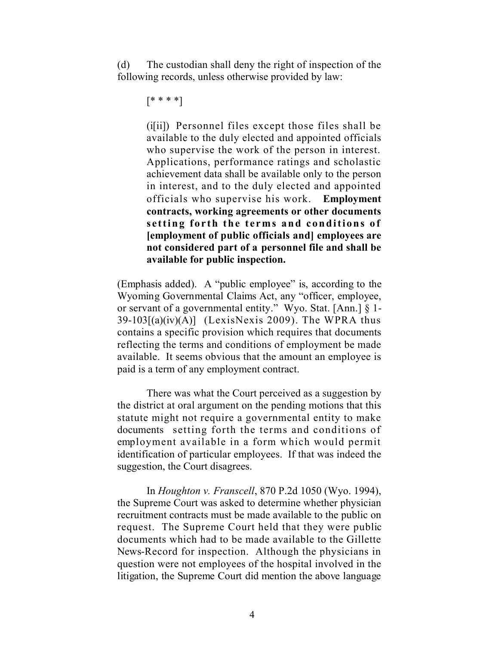(d) The custodian shall deny the right of inspection of the following records, unless otherwise provided by law:

```
[* * * *]
```
(i[ii]) Personnel files except those files shall be available to the duly elected and appointed officials who supervise the work of the person in interest. Applications, performance ratings and scholastic achievement data shall be available only to the person in interest, and to the duly elected and appointed officials who supervise his work. **Employment contracts, working agreements or other documents setting forth the terms and conditions of [employment of public officials and] employees are not considered part of a personnel file and shall be available for public inspection.**

(Emphasis added). A "public employee" is, according to the Wyoming Governmental Claims Act, any "officer, employee, or servant of a governmental entity." Wyo. Stat. [Ann.] § 1-  $39-103[(a)(iv)(A)]$  (LexisNexis 2009). The WPRA thus contains a specific provision which requires that documents reflecting the terms and conditions of employment be made available. It seems obvious that the amount an employee is paid is a term of any employment contract.

There was what the Court perceived as a suggestion by the district at oral argument on the pending motions that this statute might not require a governmental entity to make documents setting forth the terms and conditions of employment available in a form which would permit identification of particular employees. If that was indeed the suggestion, the Court disagrees.

In *Houghton v. Franscell*, 870 P.2d 1050 (Wyo. 1994), the Supreme Court was asked to determine whether physician recruitment contracts must be made available to the public on request. The Supreme Court held that they were public documents which had to be made available to the Gillette News-Record for inspection. Although the physicians in question were not employees of the hospital involved in the litigation, the Supreme Court did mention the above language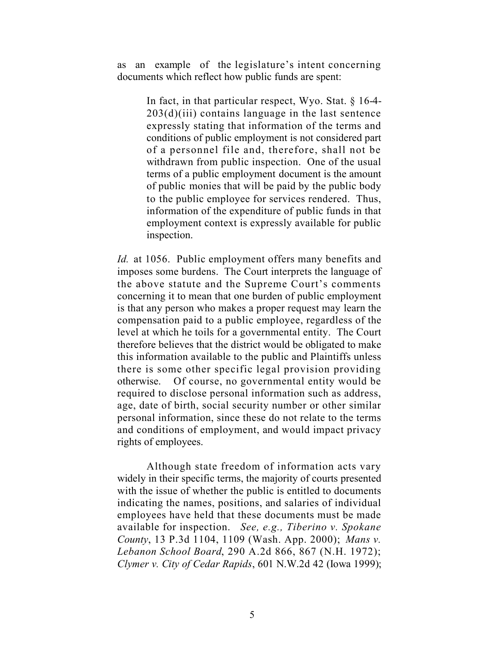as an example of the legislature's intent concerning documents which reflect how public funds are spent:

> In fact, in that particular respect, Wyo. Stat. § 16-4-  $203(d)(iii)$  contains language in the last sentence expressly stating that information of the terms and conditions of public employment is not considered part of a personnel file and, therefore, shall not be withdrawn from public inspection. One of the usual terms of a public employment document is the amount of public monies that will be paid by the public body to the public employee for services rendered. Thus, information of the expenditure of public funds in that employment context is expressly available for public inspection.

*Id.* at 1056. Public employment offers many benefits and imposes some burdens. The Court interprets the language of the above statute and the Supreme Court's comments concerning it to mean that one burden of public employment is that any person who makes a proper request may learn the compensation paid to a public employee, regardless of the level at which he toils for a governmental entity. The Court therefore believes that the district would be obligated to make this information available to the public and Plaintiffs unless there is some other specific legal provision providing otherwise. Of course, no governmental entity would be required to disclose personal information such as address, age, date of birth, social security number or other similar personal information, since these do not relate to the terms and conditions of employment, and would impact privacy rights of employees.

Although state freedom of information acts vary widely in their specific terms, the majority of courts presented with the issue of whether the public is entitled to documents indicating the names, positions, and salaries of individual employees have held that these documents must be made available for inspection. *See, e.g., Tiberino v. Spokane County*, 13 P.3d 1104, 1109 (Wash. App. 2000); *Mans v. Lebanon School Board*, 290 A.2d 866, 867 (N.H. 1972); *Clymer v. City of Cedar Rapids*, 601 N.W.2d 42 (Iowa 1999);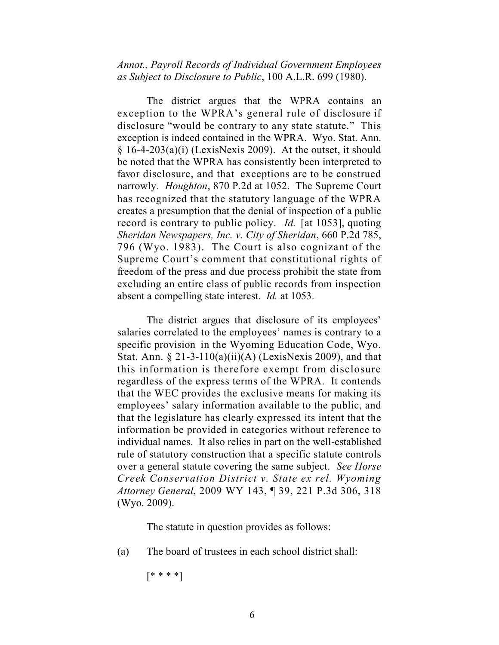*Annot., Payroll Records of Individual Government Employees as Subject to Disclosure to Public*, 100 A.L.R. 699 (1980).

The district argues that the WPRA contains an exception to the WPRA's general rule of disclosure if disclosure "would be contrary to any state statute." This exception is indeed contained in the WPRA. Wyo. Stat. Ann.  $§$  16-4-203(a)(i) (LexisNexis 2009). At the outset, it should be noted that the WPRA has consistently been interpreted to favor disclosure, and that exceptions are to be construed narrowly. *Houghton*, 870 P.2d at 1052. The Supreme Court has recognized that the statutory language of the WPRA creates a presumption that the denial of inspection of a public record is contrary to public policy. *Id.* [at 1053], quoting *Sheridan Newspapers, Inc. v. City of Sheridan*, 660 P.2d 785, 796 (Wyo. 1983). The Court is also cognizant of the Supreme Court's comment that constitutional rights of freedom of the press and due process prohibit the state from excluding an entire class of public records from inspection absent a compelling state interest. *Id.* at 1053.

The district argues that disclosure of its employees' salaries correlated to the employees' names is contrary to a specific provision in the Wyoming Education Code, Wyo. Stat. Ann. § 21-3-110(a)(ii)(A) (LexisNexis 2009), and that this information is therefore exempt from disclosure regardless of the express terms of the WPRA. It contends that the WEC provides the exclusive means for making its employees' salary information available to the public, and that the legislature has clearly expressed its intent that the information be provided in categories without reference to individual names. It also relies in part on the well-established rule of statutory construction that a specific statute controls over a general statute covering the same subject. *See Horse Creek Conservation District v. State ex rel. Wyoming Attorney General*, 2009 WY 143, ¶ 39, 221 P.3d 306, 318 (Wyo. 2009).

The statute in question provides as follows:

(a) The board of trustees in each school district shall:

[\* \* \* \*]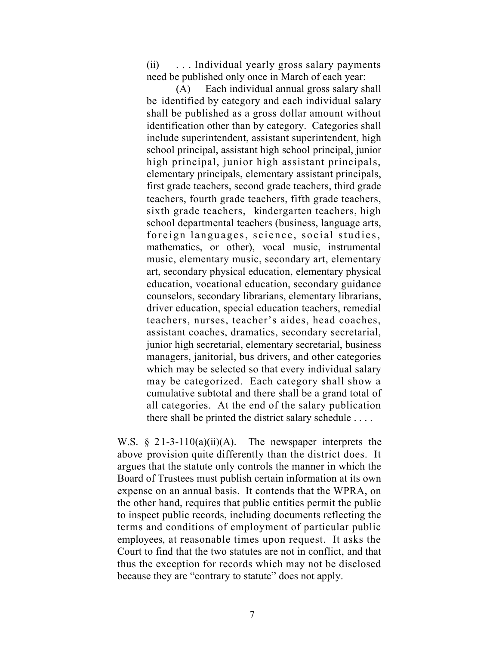(ii) . . . Individual yearly gross salary payments need be published only once in March of each year:

(A) Each individual annual gross salary shall be identified by category and each individual salary shall be published as a gross dollar amount without identification other than by category. Categories shall include superintendent, assistant superintendent, high school principal, assistant high school principal, junior high principal, junior high assistant principals, elementary principals, elementary assistant principals, first grade teachers, second grade teachers, third grade teachers, fourth grade teachers, fifth grade teachers, sixth grade teachers, kindergarten teachers, high school departmental teachers (business, language arts, foreign languages, science, social studies, mathematics, or other), vocal music, instrumental music, elementary music, secondary art, elementary art, secondary physical education, elementary physical education, vocational education, secondary guidance counselors, secondary librarians, elementary librarians, driver education, special education teachers, remedial teachers, nurses, teacher's aides, head coaches, assistant coaches, dramatics, secondary secretarial, junior high secretarial, elementary secretarial, business managers, janitorial, bus drivers, and other categories which may be selected so that every individual salary may be categorized. Each category shall show a cumulative subtotal and there shall be a grand total of all categories. At the end of the salary publication there shall be printed the district salary schedule . . . .

W.S.  $\S$  21-3-110(a)(ii)(A). The newspaper interprets the above provision quite differently than the district does. It argues that the statute only controls the manner in which the Board of Trustees must publish certain information at its own expense on an annual basis. It contends that the WPRA, on the other hand, requires that public entities permit the public to inspect public records, including documents reflecting the terms and conditions of employment of particular public employees, at reasonable times upon request. It asks the Court to find that the two statutes are not in conflict, and that thus the exception for records which may not be disclosed because they are "contrary to statute" does not apply.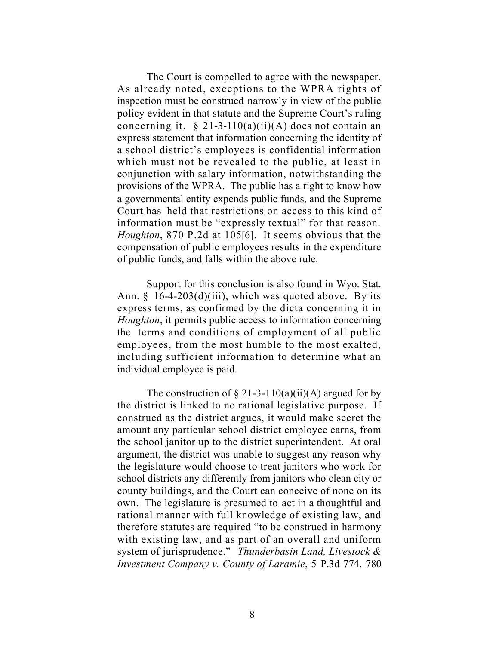The Court is compelled to agree with the newspaper. As already noted, exceptions to the WPRA rights of inspection must be construed narrowly in view of the public policy evident in that statute and the Supreme Court's ruling concerning it.  $\S 21-3-110(a)(ii)(A)$  does not contain an express statement that information concerning the identity of a school district's employees is confidential information which must not be revealed to the public, at least in conjunction with salary information, notwithstanding the provisions of the WPRA. The public has a right to know how a governmental entity expends public funds, and the Supreme Court has held that restrictions on access to this kind of information must be "expressly textual" for that reason. *Houghton*, 870 P.2d at 105[6]. It seems obvious that the compensation of public employees results in the expenditure of public funds, and falls within the above rule.

Support for this conclusion is also found in Wyo. Stat. Ann.  $\S$  16-4-203(d)(iii), which was quoted above. By its express terms, as confirmed by the dicta concerning it in *Houghton*, it permits public access to information concerning the terms and conditions of employment of all public employees, from the most humble to the most exalted, including sufficient information to determine what an individual employee is paid.

The construction of  $\S 21-3-110(a)(ii)(A)$  argued for by the district is linked to no rational legislative purpose. If construed as the district argues, it would make secret the amount any particular school district employee earns, from the school janitor up to the district superintendent. At oral argument, the district was unable to suggest any reason why the legislature would choose to treat janitors who work for school districts any differently from janitors who clean city or county buildings, and the Court can conceive of none on its own. The legislature is presumed to act in a thoughtful and rational manner with full knowledge of existing law, and therefore statutes are required "to be construed in harmony with existing law, and as part of an overall and uniform system of jurisprudence." *Thunderbasin Land, Livestock & Investment Company v. County of Laramie*, 5 P.3d 774, 780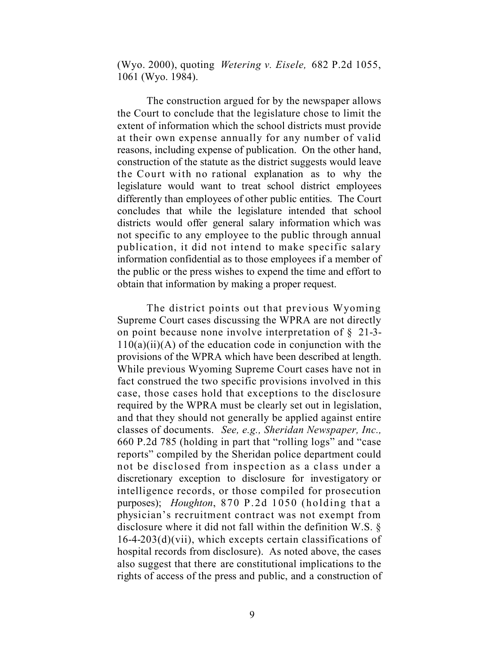(Wyo. 2000), quoting *Wetering v. Eisele,* 682 P.2d 1055, 1061 (Wyo. 1984).

The construction argued for by the newspaper allows the Court to conclude that the legislature chose to limit the extent of information which the school districts must provide at their own expense annually for any number of valid reasons, including expense of publication. On the other hand, construction of the statute as the district suggests would leave the Court with no rational explanation as to why the legislature would want to treat school district employees differently than employees of other public entities. The Court concludes that while the legislature intended that school districts would offer general salary information which was not specific to any employee to the public through annual publication, it did not intend to make specific salary information confidential as to those employees if a member of the public or the press wishes to expend the time and effort to obtain that information by making a proper request.

The district points out that previous Wyoming Supreme Court cases discussing the WPRA are not directly on point because none involve interpretation of § 21-3-  $110(a)(ii)(A)$  of the education code in conjunction with the provisions of the WPRA which have been described at length. While previous Wyoming Supreme Court cases have not in fact construed the two specific provisions involved in this case, those cases hold that exceptions to the disclosure required by the WPRA must be clearly set out in legislation, and that they should not generally be applied against entire classes of documents. *See, e.g., Sheridan Newspaper, Inc.,* 660 P.2d 785 (holding in part that "rolling logs" and "case reports" compiled by the Sheridan police department could not be disclosed from inspection as a class under a discretionary exception to disclosure for investigatory or intelligence records, or those compiled for prosecution purposes); *Houghton*, 870 P.2d 1050 (holding that a physician's recruitment contract was not exempt from disclosure where it did not fall within the definition W.S. §  $16-4-203(d)(vii)$ , which excepts certain classifications of hospital records from disclosure). As noted above, the cases also suggest that there are constitutional implications to the rights of access of the press and public, and a construction of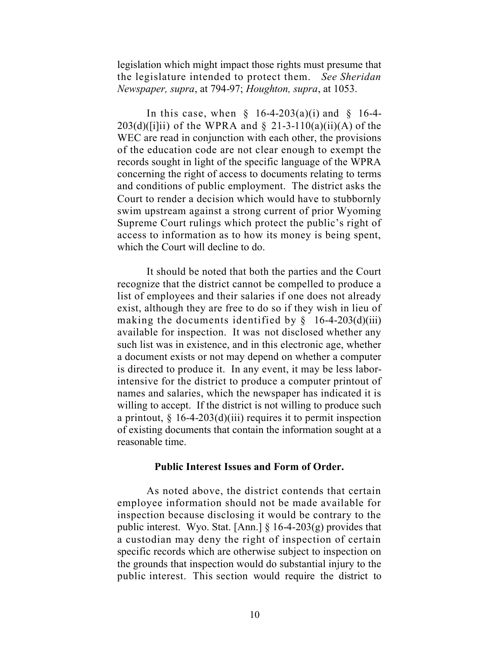legislation which might impact those rights must presume that the legislature intended to protect them. *See Sheridan Newspaper, supra*, at 794-97; *Houghton, supra*, at 1053.

In this case, when  $\S$  16-4-203(a)(i) and  $\S$  16-4- $203(d)(iii)$  of the WPRA and  $\S$  21-3-110(a)(ii)(A) of the WEC are read in conjunction with each other, the provisions of the education code are not clear enough to exempt the records sought in light of the specific language of the WPRA concerning the right of access to documents relating to terms and conditions of public employment. The district asks the Court to render a decision which would have to stubbornly swim upstream against a strong current of prior Wyoming Supreme Court rulings which protect the public's right of access to information as to how its money is being spent, which the Court will decline to do.

It should be noted that both the parties and the Court recognize that the district cannot be compelled to produce a list of employees and their salaries if one does not already exist, although they are free to do so if they wish in lieu of making the documents identified by  $\S$  16-4-203(d)(iii) available for inspection. It was not disclosed whether any such list was in existence, and in this electronic age, whether a document exists or not may depend on whether a computer is directed to produce it. In any event, it may be less laborintensive for the district to produce a computer printout of names and salaries, which the newspaper has indicated it is willing to accept. If the district is not willing to produce such a printout,  $\frac{1}{2}$  16-4-203(d)(iii) requires it to permit inspection of existing documents that contain the information sought at a reasonable time.

#### **Public Interest Issues and Form of Order.**

As noted above, the district contends that certain employee information should not be made available for inspection because disclosing it would be contrary to the public interest. Wyo. Stat. [Ann.] § 16-4-203(g) provides that a custodian may deny the right of inspection of certain specific records which are otherwise subject to inspection on the grounds that inspection would do substantial injury to the public interest. This section would require the district to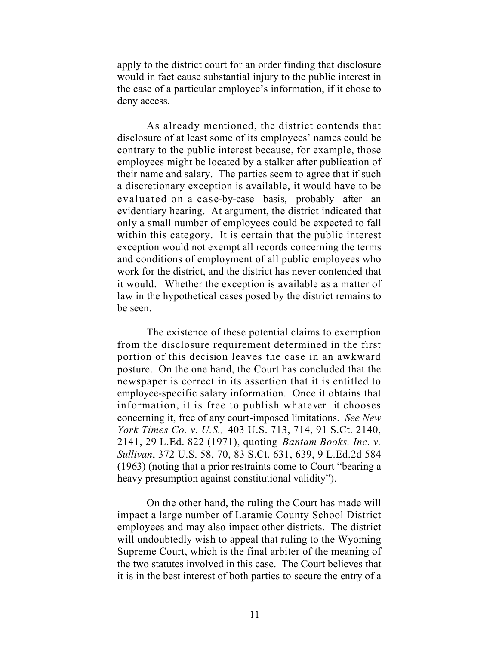apply to the district court for an order finding that disclosure would in fact cause substantial injury to the public interest in the case of a particular employee's information, if it chose to deny access.

As already mentioned, the district contends that disclosure of at least some of its employees' names could be contrary to the public interest because, for example, those employees might be located by a stalker after publication of their name and salary. The parties seem to agree that if such a discretionary exception is available, it would have to be evaluated on a case-by-case basis, probably after an evidentiary hearing. At argument, the district indicated that only a small number of employees could be expected to fall within this category. It is certain that the public interest exception would not exempt all records concerning the terms and conditions of employment of all public employees who work for the district, and the district has never contended that it would. Whether the exception is available as a matter of law in the hypothetical cases posed by the district remains to be seen.

The existence of these potential claims to exemption from the disclosure requirement determined in the first portion of this decision leaves the case in an awkward posture. On the one hand, the Court has concluded that the newspaper is correct in its assertion that it is entitled to employee-specific salary information. Once it obtains that information, it is free to publish whatever it chooses concerning it, free of any court-imposed limitations. *See New York Times Co. v. U.S.,* 403 U.S. 713, 714, 91 S.Ct. 2140, 2141, 29 L.Ed. 822 (1971), quoting *Bantam Books, Inc. v. Sullivan*, 372 U.S. 58, 70, 83 S.Ct. 631, 639, 9 L.Ed.2d 584 (1963) (noting that a prior restraints come to Court "bearing a heavy presumption against constitutional validity").

On the other hand, the ruling the Court has made will impact a large number of Laramie County School District employees and may also impact other districts. The district will undoubtedly wish to appeal that ruling to the Wyoming Supreme Court, which is the final arbiter of the meaning of the two statutes involved in this case. The Court believes that it is in the best interest of both parties to secure the entry of a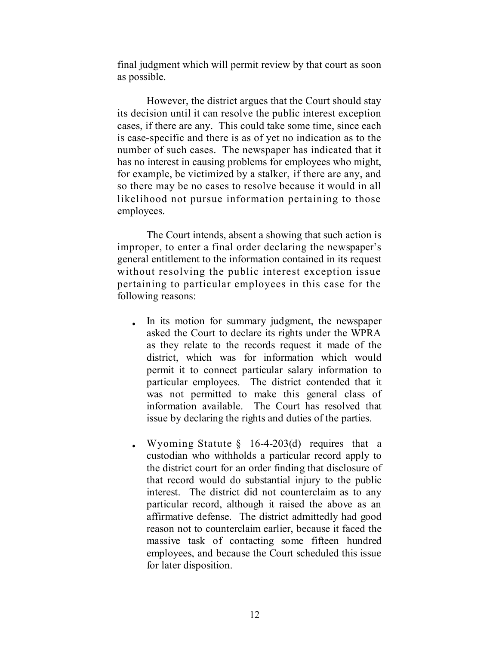final judgment which will permit review by that court as soon as possible.

However, the district argues that the Court should stay its decision until it can resolve the public interest exception cases, if there are any. This could take some time, since each is case-specific and there is as of yet no indication as to the number of such cases. The newspaper has indicated that it has no interest in causing problems for employees who might, for example, be victimized by a stalker, if there are any, and so there may be no cases to resolve because it would in all likelihood not pursue information pertaining to those employees.

The Court intends, absent a showing that such action is improper, to enter a final order declaring the newspaper's general entitlement to the information contained in its request without resolving the public interest exception issue pertaining to particular employees in this case for the following reasons:

- In its motion for summary judgment, the newspaper asked the Court to declare its rights under the WPRA as they relate to the records request it made of the district, which was for information which would permit it to connect particular salary information to particular employees. The district contended that it was not permitted to make this general class of information available. The Court has resolved that issue by declaring the rights and duties of the parties.
- Wyoming Statute  $\S$  16-4-203(d) requires that a custodian who withholds a particular record apply to the district court for an order finding that disclosure of that record would do substantial injury to the public interest. The district did not counterclaim as to any particular record, although it raised the above as an affirmative defense. The district admittedly had good reason not to counterclaim earlier, because it faced the massive task of contacting some fifteen hundred employees, and because the Court scheduled this issue for later disposition.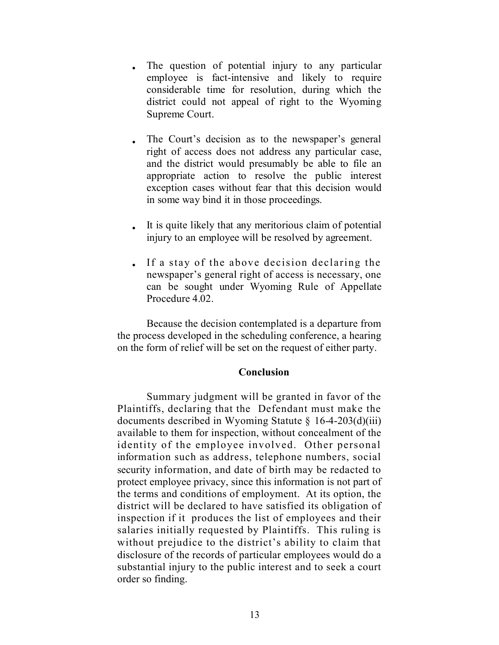- The question of potential injury to any particular employee is fact-intensive and likely to require considerable time for resolution, during which the district could not appeal of right to the Wyoming Supreme Court.
- The Court's decision as to the newspaper's general right of access does not address any particular case, and the district would presumably be able to file an appropriate action to resolve the public interest exception cases without fear that this decision would in some way bind it in those proceedings.
- It is quite likely that any meritorious claim of potential injury to an employee will be resolved by agreement.
- If a stay of the above decision declaring the newspaper's general right of access is necessary, one can be sought under Wyoming Rule of Appellate Procedure 4.02.

Because the decision contemplated is a departure from the process developed in the scheduling conference, a hearing on the form of relief will be set on the request of either party.

### **Conclusion**

Summary judgment will be granted in favor of the Plaintiffs, declaring that the Defendant must make the documents described in Wyoming Statute § 16-4-203(d)(iii) available to them for inspection, without concealment of the identity of the employee involved. Other personal information such as address, telephone numbers, social security information, and date of birth may be redacted to protect employee privacy, since this information is not part of the terms and conditions of employment. At its option, the district will be declared to have satisfied its obligation of inspection if it produces the list of employees and their salaries initially requested by Plaintiffs. This ruling is without prejudice to the district's ability to claim that disclosure of the records of particular employees would do a substantial injury to the public interest and to seek a court order so finding.